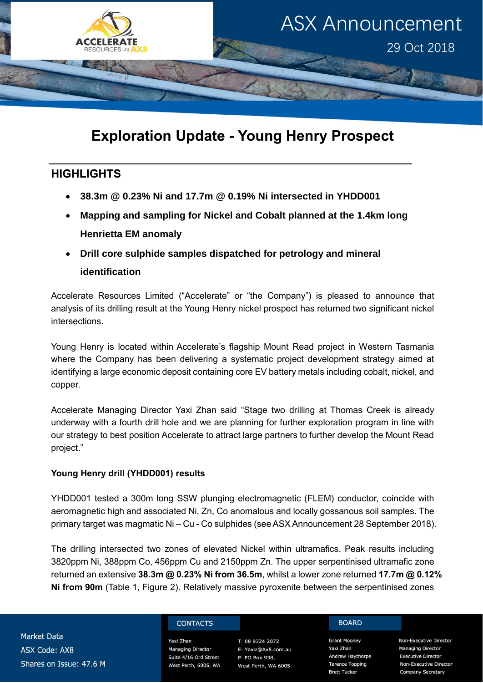

# **Exploration Update - Young Henry Prospect**

### **HIGHLIGHTS**

- **38.3m @ 0.23% Ni and 17.7m @ 0.19% Ni intersected in YHDD001**
- **Mapping and sampling for Nickel and Cobalt planned at the 1.4km long Henrietta EM anomaly**
- **Drill core sulphide samples dispatched for petrology and mineral identification**

Accelerate Resources Limited ("Accelerate" or "the Company") is pleased to announce that analysis of its drilling result at the Young Henry nickel prospect has returned two significant nickel intersections.

Young Henry is located within Accelerate's flagship Mount Read project in Western Tasmania where the Company has been delivering a systematic project development strategy aimed at identifying a large economic deposit containing core EV battery metals including cobalt, nickel, and copper.

Accelerate Managing Director Yaxi Zhan said "Stage two drilling at Thomas Creek is already underway with a fourth drill hole and we are planning for further exploration program in line with our strategy to best position Accelerate to attract large partners to further develop the Mount Read project."

### **Young Henry drill (YHDD001) results**

YHDD001 tested a 300m long SSW plunging electromagnetic (FLEM) conductor, coincide with aeromagnetic high and associated Ni, Zn, Co anomalous and locally gossanous soil samples. The primary target was magmatic Ni – Cu - Co sulphides (see ASX Announcement 28 September 2018).

The drilling intersected two zones of elevated Nickel within ultramafics. Peak results including 3820ppm Ni, 388ppm Co, 456ppm Cu and 2150ppm Zn. The upper serpentinised ultramafic zone returned an extensive **38.3m @ 0.23% Ni from 36.5m**, whilst a lower zone returned **17.7m @ 0.12% Ni from 90m** (Table 1, Figure 2). Relatively massive pyroxenite between the serpentinised zones

**Market Data ASX Code: AX8** Shares on Issue: 47.6 M

#### **CONTACTS**

Yaxi Zhan **Managing Director** Suite 4/16 Ord Street West Perth, 6005, WA

T: 08 9324 2072 E: Yaxiz@Ax8.com.au P: PO Box 938, West Perth, WA 6005

#### **BOARD**

**Grant Mooney** Yaxi Zhan **Andrew Haythorpe** Terence Topping **Brett Tucker** 

Non-Executive Director **Managing Director Executive Director** Non-Executive Director Company Secretary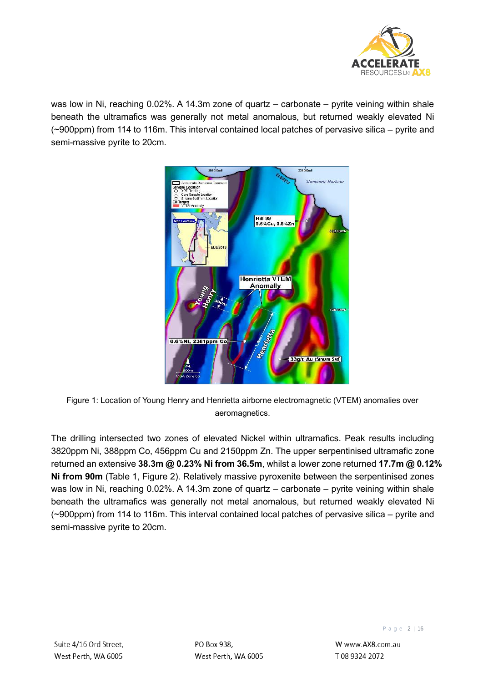

was low in Ni, reaching 0.02%. A 14.3m zone of quartz – carbonate – pyrite veining within shale beneath the ultramafics was generally not metal anomalous, but returned weakly elevated Ni (~900ppm) from 114 to 116m. This interval contained local patches of pervasive silica – pyrite and semi-massive pyrite to 20cm.



Figure 1: Location of Young Henry and Henrietta airborne electromagnetic (VTEM) anomalies over aeromagnetics.

The drilling intersected two zones of elevated Nickel within ultramafics. Peak results including 3820ppm Ni, 388ppm Co, 456ppm Cu and 2150ppm Zn. The upper serpentinised ultramafic zone returned an extensive **38.3m @ 0.23% Ni from 36.5m**, whilst a lower zone returned **17.7m @ 0.12% Ni from 90m** (Table 1, Figure 2). Relatively massive pyroxenite between the serpentinised zones was low in Ni, reaching 0.02%. A 14.3m zone of quartz – carbonate – pyrite veining within shale beneath the ultramafics was generally not metal anomalous, but returned weakly elevated Ni (~900ppm) from 114 to 116m. This interval contained local patches of pervasive silica – pyrite and semi-massive pyrite to 20cm.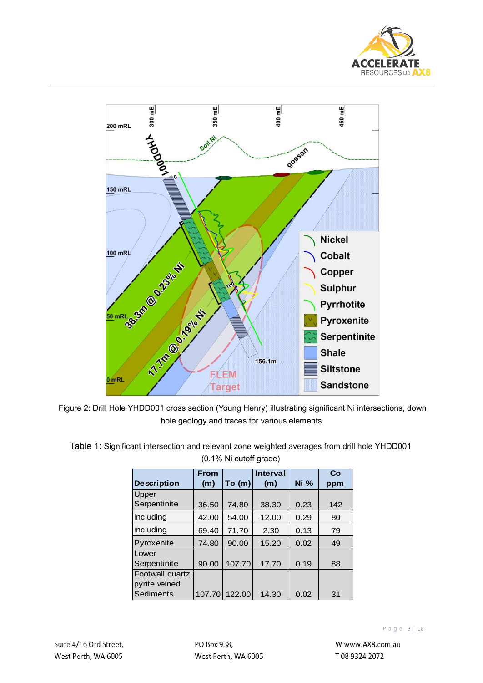



Figure 2: Drill Hole YHDD001 cross section (Young Henry) illustrating significant Ni intersections, down hole geology and traces for various elements.

|                    | <b>From</b> |        | <b>Interval</b> |      | Co  |
|--------------------|-------------|--------|-----------------|------|-----|
| <b>Description</b> | (m)         | To (m) | (m)             | Ni%  | ppm |
| Upper              |             |        |                 |      |     |
| Serpentinite       | 36.50       | 74.80  | 38.30           | 0.23 | 142 |
| including          | 42.00       | 54.00  | 12.00           | 0.29 | 80  |
| including          | 69.40       | 71.70  | 2.30            | 0.13 | 79  |
| Pyroxenite         | 74.80       | 90.00  | 15.20           | 0.02 | 49  |
| Lower              |             |        |                 |      |     |
| Serpentinite       | 90.00       | 107.70 | 17.70           | 0.19 | 88  |
| Footwall quartz    |             |        |                 |      |     |
| pyrite veined      |             |        |                 |      |     |
| Sediments          | 107.70      | 122.00 | 14.30           | 0.02 | 31  |

| Table 1: Significant intersection and relevant zone weighted averages from drill hole YHDD001 |  |
|-----------------------------------------------------------------------------------------------|--|
| (0.1% Ni cutoff grade)                                                                        |  |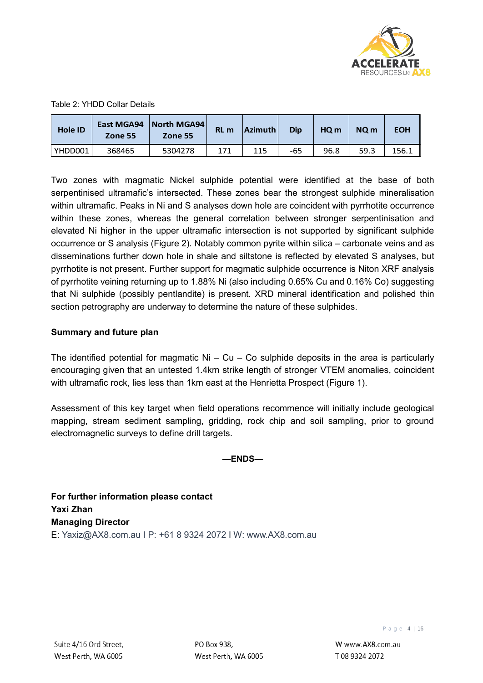

#### Table 2: YHDD Collar Details

| Hole ID | East MGA94<br>Zone 55 | North MGA94  <br>Zone 55 | RL <sub>m</sub> | Azimuth | Dip | HO <sub>m</sub> | NQ <sub>m</sub> | <b>EOH</b> |
|---------|-----------------------|--------------------------|-----------------|---------|-----|-----------------|-----------------|------------|
| YHDD001 | 368465                | 5304278                  | 171             | 115     | -65 | 96.8            | 59.3            | 156.1      |

Two zones with magmatic Nickel sulphide potential were identified at the base of both serpentinised ultramafic's intersected. These zones bear the strongest sulphide mineralisation within ultramafic. Peaks in Ni and S analyses down hole are coincident with pyrrhotite occurrence within these zones, whereas the general correlation between stronger serpentinisation and elevated Ni higher in the upper ultramafic intersection is not supported by significant sulphide occurrence or S analysis (Figure 2). Notably common pyrite within silica – carbonate veins and as disseminations further down hole in shale and siltstone is reflected by elevated S analyses, but pyrrhotite is not present. Further support for magmatic sulphide occurrence is Niton XRF analysis of pyrrhotite veining returning up to 1.88% Ni (also including 0.65% Cu and 0.16% Co) suggesting that Ni sulphide (possibly pentlandite) is present. XRD mineral identification and polished thin section petrography are underway to determine the nature of these sulphides.

#### **Summary and future plan**

The identified potential for magmatic  $Ni - Cu - Co$  sulphide deposits in the area is particularly encouraging given that an untested 1.4km strike length of stronger VTEM anomalies, coincident with ultramafic rock, lies less than 1km east at the Henrietta Prospect (Figure 1).

Assessment of this key target when field operations recommence will initially include geological mapping, stream sediment sampling, gridding, rock chip and soil sampling, prior to ground electromagnetic surveys to define drill targets.

**—ENDS—**

**For further information please contact Yaxi Zhan Managing Director**  E: [Yaxiz@AX8.com.au](mailto:Yaxiz@AX8.com.au) I P: +61 8 9324 2072 I W: [www.AX8.com.au](http://www.ax8.com.au/)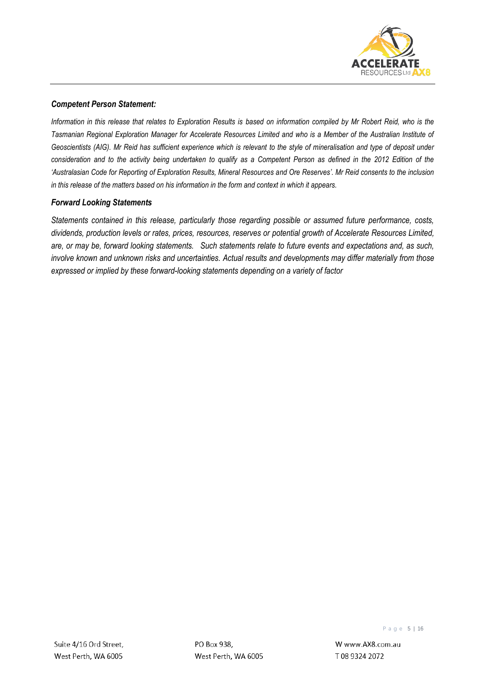

#### *Competent Person Statement:*

*Information in this release that relates to Exploration Results is based on information compiled by Mr Robert Reid, who is the Tasmanian Regional Exploration Manager for Accelerate Resources Limited and who is a Member of the Australian Institute of*  Geoscientists (AIG). Mr Reid has sufficient experience which is relevant to the style of mineralisation and type of deposit under *consideration and to the activity being undertaken to qualify as a Competent Person as defined in the 2012 Edition of the 'Australasian Code for Reporting of Exploration Results, Mineral Resources and Ore Reserves'. Mr Reid consents to the inclusion in this release of the matters based on his information in the form and context in which it appears.*

#### *Forward Looking Statements*

*Statements contained in this release, particularly those regarding possible or assumed future performance, costs, dividends, production levels or rates, prices, resources, reserves or potential growth of Accelerate Resources Limited, are, or may be, forward looking statements. Such statements relate to future events and expectations and, as such, involve known and unknown risks and uncertainties. Actual results and developments may differ materially from those expressed or implied by these forward-looking statements depending on a variety of factor*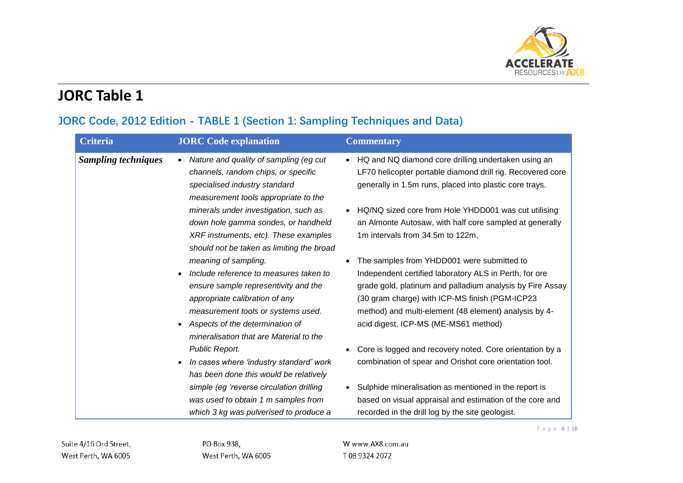

# **JORC Table 1**

## **JORC Code, 2012 Edition - TABLE 1 (Section 1: Sampling Techniques and Data)**

| <b>Criteria</b>            | <b>JORC</b> Code explanation                                                                                                                                                                                                                                 | <b>Commentary</b>                                                                                                                                                                                                                                                                                                    |
|----------------------------|--------------------------------------------------------------------------------------------------------------------------------------------------------------------------------------------------------------------------------------------------------------|----------------------------------------------------------------------------------------------------------------------------------------------------------------------------------------------------------------------------------------------------------------------------------------------------------------------|
| <b>Sampling techniques</b> | Nature and quality of sampling (eg cut<br>channels, random chips, or specific<br>specialised industry standard<br>measurement tools appropriate to the                                                                                                       | • HQ and NQ diamond core drilling undertaken using an<br>LF70 helicopter portable diamond drill rig. Recovered core<br>generally in 1.5m runs, placed into plastic core trays.                                                                                                                                       |
|                            | minerals under investigation, such as<br>down hole gamma sondes, or handheld<br>XRF instruments, etc). These examples<br>should not be taken as limiting the broad                                                                                           | HQ/NQ sized core from Hole YHDD001 was cut utilising<br>an Almonte Autosaw, with half core sampled at generally<br>1m intervals from 34.5m to 122m,                                                                                                                                                                  |
|                            | meaning of sampling.<br>Include reference to measures taken to<br>ensure sample representivity and the<br>appropriate calibration of any<br>measurement tools or systems used.<br>Aspects of the determination of<br>mineralisation that are Material to the | The samples from YHDD001 were submitted to<br>Independent certified laboratory ALS in Perth, for ore<br>grade gold, platinum and palladium analysis by Fire Assay<br>(30 gram charge) with ICP-MS finish (PGM-ICP23<br>method) and multi-element (48 element) analysis by 4-<br>acid digest, ICP-MS (ME-MS61 method) |
|                            | Public Report.<br>In cases where 'industry standard' work<br>has been done this would be relatively                                                                                                                                                          | Core is logged and recovery noted. Core orientation by a<br>combination of spear and Orishot core orientation tool.                                                                                                                                                                                                  |
|                            | simple (eg 'reverse circulation drilling<br>was used to obtain 1 m samples from<br>which 3 kg was pulverised to produce a                                                                                                                                    | Sulphide mineralisation as mentioned in the report is<br>based on visual appraisal and estimation of the core and<br>recorded in the drill log by the site geologist.                                                                                                                                                |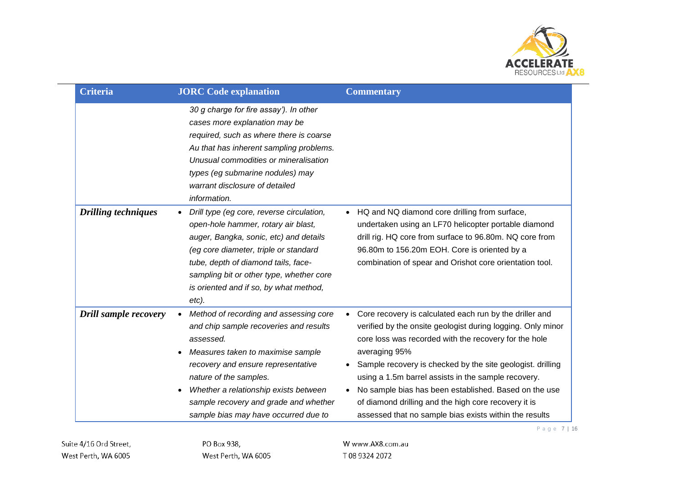

Page 7 | 16

| <b>Criteria</b>            | <b>JORC</b> Code explanation                                                                                                                                                                                                                                                                                                                                        | <b>Commentary</b>                                                                                                                                                                                                                                                                                                                                                                                                                                                                                             |
|----------------------------|---------------------------------------------------------------------------------------------------------------------------------------------------------------------------------------------------------------------------------------------------------------------------------------------------------------------------------------------------------------------|---------------------------------------------------------------------------------------------------------------------------------------------------------------------------------------------------------------------------------------------------------------------------------------------------------------------------------------------------------------------------------------------------------------------------------------------------------------------------------------------------------------|
|                            | 30 g charge for fire assay'). In other<br>cases more explanation may be<br>required, such as where there is coarse<br>Au that has inherent sampling problems.<br>Unusual commodities or mineralisation<br>types (eg submarine nodules) may<br>warrant disclosure of detailed<br>information.                                                                        |                                                                                                                                                                                                                                                                                                                                                                                                                                                                                                               |
| <b>Drilling techniques</b> | Drill type (eg core, reverse circulation,<br>$\bullet$<br>open-hole hammer, rotary air blast,<br>auger, Bangka, sonic, etc) and details<br>(eg core diameter, triple or standard<br>tube, depth of diamond tails, face-<br>sampling bit or other type, whether core<br>is oriented and if so, by what method,<br>$etc$ ).                                           | • HQ and NQ diamond core drilling from surface,<br>undertaken using an LF70 helicopter portable diamond<br>drill rig. HQ core from surface to 96.80m. NQ core from<br>96.80m to 156.20m EOH. Core is oriented by a<br>combination of spear and Orishot core orientation tool.                                                                                                                                                                                                                                 |
| Drill sample recovery      | Method of recording and assessing core<br>$\bullet$<br>and chip sample recoveries and results<br>assessed.<br>Measures taken to maximise sample<br>$\bullet$<br>recovery and ensure representative<br>nature of the samples.<br>Whether a relationship exists between<br>$\bullet$<br>sample recovery and grade and whether<br>sample bias may have occurred due to | Core recovery is calculated each run by the driller and<br>$\bullet$<br>verified by the onsite geologist during logging. Only minor<br>core loss was recorded with the recovery for the hole<br>averaging 95%<br>Sample recovery is checked by the site geologist. drilling<br>using a 1.5m barrel assists in the sample recovery.<br>No sample bias has been established. Based on the use<br>of diamond drilling and the high core recovery it is<br>assessed that no sample bias exists within the results |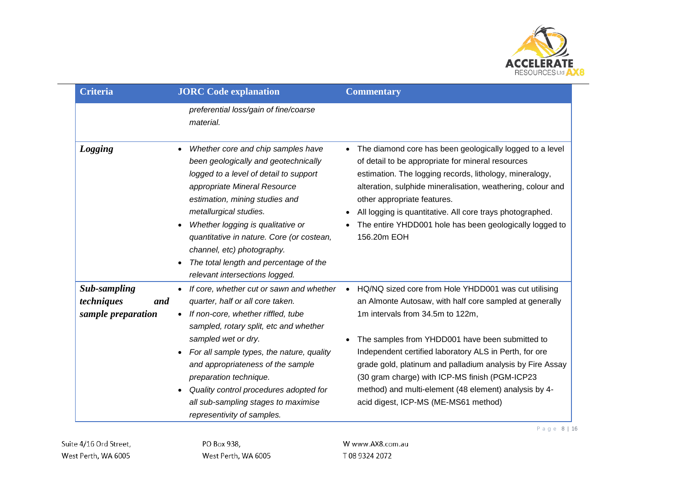

| <b>Criteria</b>                                                | <b>JORC</b> Code explanation                                                                                                                                                                                                                                                                                                                                                                                              | <b>Commentary</b>                                                                                                                                                                                                                                                                                                                                                                                                          |
|----------------------------------------------------------------|---------------------------------------------------------------------------------------------------------------------------------------------------------------------------------------------------------------------------------------------------------------------------------------------------------------------------------------------------------------------------------------------------------------------------|----------------------------------------------------------------------------------------------------------------------------------------------------------------------------------------------------------------------------------------------------------------------------------------------------------------------------------------------------------------------------------------------------------------------------|
|                                                                | preferential loss/gain of fine/coarse<br>material.                                                                                                                                                                                                                                                                                                                                                                        |                                                                                                                                                                                                                                                                                                                                                                                                                            |
| <b>Logging</b>                                                 | Whether core and chip samples have<br>$\bullet$<br>been geologically and geotechnically<br>logged to a level of detail to support<br>appropriate Mineral Resource<br>estimation, mining studies and<br>metallurgical studies.<br>Whether logging is qualitative or<br>quantitative in nature. Core (or costean,<br>channel, etc) photography.<br>The total length and percentage of the<br>relevant intersections logged. | The diamond core has been geologically logged to a level<br>$\bullet$<br>of detail to be appropriate for mineral resources<br>estimation. The logging records, lithology, mineralogy,<br>alteration, sulphide mineralisation, weathering, colour and<br>other appropriate features.<br>All logging is quantitative. All core trays photographed.<br>The entire YHDD001 hole has been geologically logged to<br>156.20m EOH |
| <b>Sub-sampling</b><br>techniques<br>and<br>sample preparation | If core, whether cut or sawn and whether<br>$\bullet$<br>quarter, half or all core taken.<br>If non-core, whether riffled, tube<br>sampled, rotary split, etc and whether                                                                                                                                                                                                                                                 | HQ/NQ sized core from Hole YHDD001 was cut utilising<br>$\bullet$<br>an Almonte Autosaw, with half core sampled at generally<br>1m intervals from 34.5m to 122m,                                                                                                                                                                                                                                                           |
|                                                                | sampled wet or dry.<br>For all sample types, the nature, quality<br>and appropriateness of the sample<br>preparation technique.<br>Quality control procedures adopted for<br>all sub-sampling stages to maximise<br>representivity of samples.                                                                                                                                                                            | The samples from YHDD001 have been submitted to<br>Independent certified laboratory ALS in Perth, for ore<br>grade gold, platinum and palladium analysis by Fire Assay<br>(30 gram charge) with ICP-MS finish (PGM-ICP23<br>method) and multi-element (48 element) analysis by 4-<br>acid digest, ICP-MS (ME-MS61 method)                                                                                                  |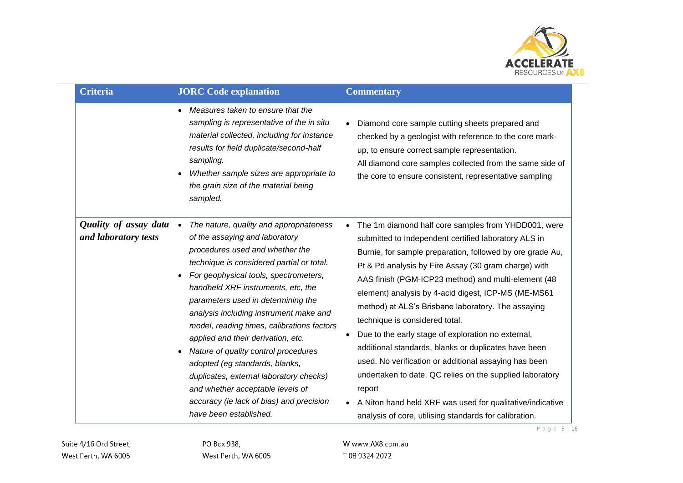

| <b>Criteria</b>                               | <b>JORC</b> Code explanation                                                                                                                                                                                                                                                                                                                                                                                                                                                                                                                                                                                                                                               | <b>Commentary</b>                                                                                                                                                                                                                                                                                                                                                                                                                                                                                                                                                                                                                                                                                                                                                                                          |
|-----------------------------------------------|----------------------------------------------------------------------------------------------------------------------------------------------------------------------------------------------------------------------------------------------------------------------------------------------------------------------------------------------------------------------------------------------------------------------------------------------------------------------------------------------------------------------------------------------------------------------------------------------------------------------------------------------------------------------------|------------------------------------------------------------------------------------------------------------------------------------------------------------------------------------------------------------------------------------------------------------------------------------------------------------------------------------------------------------------------------------------------------------------------------------------------------------------------------------------------------------------------------------------------------------------------------------------------------------------------------------------------------------------------------------------------------------------------------------------------------------------------------------------------------------|
|                                               | Measures taken to ensure that the<br>$\bullet$<br>sampling is representative of the in situ<br>material collected, including for instance<br>results for field duplicate/second-half<br>sampling.<br>Whether sample sizes are appropriate to<br>$\bullet$<br>the grain size of the material being<br>sampled.                                                                                                                                                                                                                                                                                                                                                              | Diamond core sample cutting sheets prepared and<br>checked by a geologist with reference to the core mark-<br>up, to ensure correct sample representation.<br>All diamond core samples collected from the same side of<br>the core to ensure consistent, representative sampling                                                                                                                                                                                                                                                                                                                                                                                                                                                                                                                           |
| Quality of assay data<br>and laboratory tests | The nature, quality and appropriateness<br>$\bullet$<br>of the assaying and laboratory<br>procedures used and whether the<br>technique is considered partial or total.<br>For geophysical tools, spectrometers,<br>٠<br>handheld XRF instruments, etc, the<br>parameters used in determining the<br>analysis including instrument make and<br>model, reading times, calibrations factors<br>applied and their derivation, etc.<br>Nature of quality control procedures<br>$\bullet$<br>adopted (eg standards, blanks,<br>duplicates, external laboratory checks)<br>and whether acceptable levels of<br>accuracy (ie lack of bias) and precision<br>have been established. | The 1m diamond half core samples from YHDD001, were<br>submitted to Independent certified laboratory ALS in<br>Burnie, for sample preparation, followed by ore grade Au,<br>Pt & Pd analysis by Fire Assay (30 gram charge) with<br>AAS finish (PGM-ICP23 method) and multi-element (48<br>element) analysis by 4-acid digest, ICP-MS (ME-MS61<br>method) at ALS's Brisbane laboratory. The assaying<br>technique is considered total.<br>Due to the early stage of exploration no external,<br>additional standards, blanks or duplicates have been<br>used. No verification or additional assaying has been<br>undertaken to date. QC relies on the supplied laboratory<br>report<br>A Niton hand held XRF was used for qualitative/indicative<br>analysis of core, utilising standards for calibration. |

P a g e 9 | 16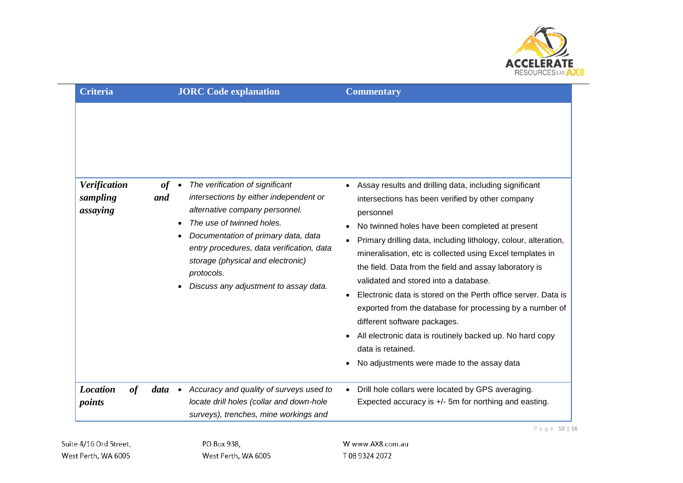

| <b>Criteria</b>                             | <b>JORC Code explanation</b>                                                                                                                                   | <b>Commentary</b>                                                                                                                                                                                                                                                                                                                                                                                                                                                                                                                                                                                                                                                                                                                                                                                                                                                                                            |
|---------------------------------------------|----------------------------------------------------------------------------------------------------------------------------------------------------------------|--------------------------------------------------------------------------------------------------------------------------------------------------------------------------------------------------------------------------------------------------------------------------------------------------------------------------------------------------------------------------------------------------------------------------------------------------------------------------------------------------------------------------------------------------------------------------------------------------------------------------------------------------------------------------------------------------------------------------------------------------------------------------------------------------------------------------------------------------------------------------------------------------------------|
| <b>Verification</b><br>sampling<br>assaying | The verification of significant<br>of<br>and<br>alternative company personnel.<br>The use of twinned holes.<br>storage (physical and electronic)<br>protocols. | • Assay results and drilling data, including significant<br>intersections by either independent or<br>intersections has been verified by other company<br>personnel<br>No twinned holes have been completed at present<br>Documentation of primary data, data<br>Primary drilling data, including lithology, colour, alteration,<br>entry procedures, data verification, data<br>mineralisation, etc is collected using Excel templates in<br>the field. Data from the field and assay laboratory is<br>validated and stored into a database.<br>Discuss any adjustment to assay data.<br>Electronic data is stored on the Perth office server. Data is<br>exported from the database for processing by a number of<br>different software packages.<br>All electronic data is routinely backed up. No hard copy<br>$\bullet$<br>data is retained.<br>No adjustments were made to the assay data<br>$\bullet$ |
| <b>Location</b><br>of<br>points             | $data \bullet$                                                                                                                                                 | Accuracy and quality of surveys used to<br>Drill hole collars were located by GPS averaging.<br>$\bullet$<br>Expected accuracy is +/- 5m for northing and easting.<br>locate drill holes (collar and down-hole<br>surveys), trenches, mine workings and                                                                                                                                                                                                                                                                                                                                                                                                                                                                                                                                                                                                                                                      |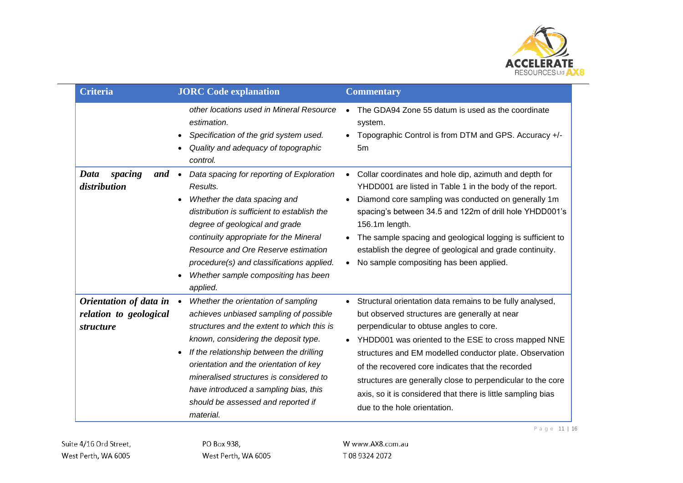

Page 11 | 16

| <b>Criteria</b>                                               | <b>JORC</b> Code explanation                                                                                                                                                                                                                                                                                                                                                                                  | <b>Commentary</b>                                                                                                                                                                                                                                                                                                                                                                                                                                                                           |
|---------------------------------------------------------------|---------------------------------------------------------------------------------------------------------------------------------------------------------------------------------------------------------------------------------------------------------------------------------------------------------------------------------------------------------------------------------------------------------------|---------------------------------------------------------------------------------------------------------------------------------------------------------------------------------------------------------------------------------------------------------------------------------------------------------------------------------------------------------------------------------------------------------------------------------------------------------------------------------------------|
|                                                               | other locations used in Mineral Resource<br>estimation.<br>Specification of the grid system used.<br>Quality and adequacy of topographic<br>control.                                                                                                                                                                                                                                                          | The GDA94 Zone 55 datum is used as the coordinate<br>system.<br>Topographic Control is from DTM and GPS. Accuracy +/-<br>5m                                                                                                                                                                                                                                                                                                                                                                 |
| spacing<br>Data<br>and<br>distribution                        | Data spacing for reporting of Exploration<br>Results.<br>Whether the data spacing and<br>distribution is sufficient to establish the<br>degree of geological and grade<br>continuity appropriate for the Mineral<br>Resource and Ore Reserve estimation<br>procedure(s) and classifications applied.<br>Whether sample compositing has been<br>applied.                                                       | Collar coordinates and hole dip, azimuth and depth for<br>YHDD001 are listed in Table 1 in the body of the report.<br>Diamond core sampling was conducted on generally 1m<br>spacing's between 34.5 and 122m of drill hole YHDD001's<br>156.1m length.<br>The sample spacing and geological logging is sufficient to<br>establish the degree of geological and grade continuity.<br>No sample compositing has been applied.<br>$\bullet$                                                    |
| Orientation of data in<br>relation to geological<br>structure | Whether the orientation of sampling<br>$\bullet$<br>achieves unbiased sampling of possible<br>structures and the extent to which this is<br>known, considering the deposit type.<br>If the relationship between the drilling<br>orientation and the orientation of key<br>mineralised structures is considered to<br>have introduced a sampling bias, this<br>should be assessed and reported if<br>material. | Structural orientation data remains to be fully analysed,<br>but observed structures are generally at near<br>perpendicular to obtuse angles to core.<br>YHDD001 was oriented to the ESE to cross mapped NNE<br>structures and EM modelled conductor plate. Observation<br>of the recovered core indicates that the recorded<br>structures are generally close to perpendicular to the core<br>axis, so it is considered that there is little sampling bias<br>due to the hole orientation. |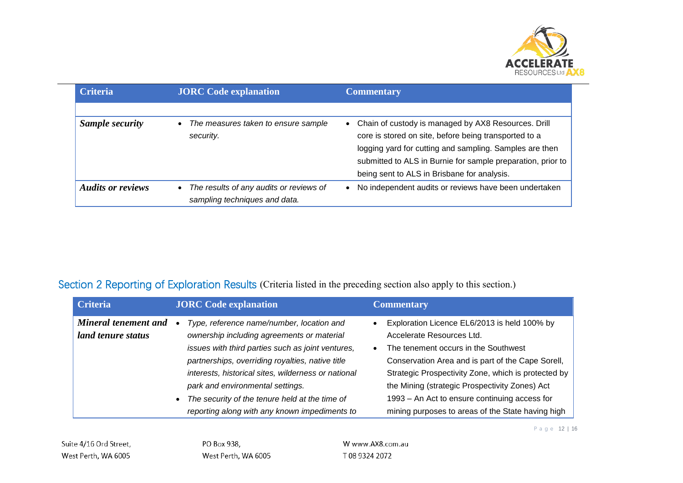

| <b>Criteria</b>          | <b>JORC</b> Code explanation                                             | <b>Commentary</b>                                                                                                                                                                                                                                                                                  |
|--------------------------|--------------------------------------------------------------------------|----------------------------------------------------------------------------------------------------------------------------------------------------------------------------------------------------------------------------------------------------------------------------------------------------|
| <b>Sample security</b>   | The measures taken to ensure sample<br>security.                         | Chain of custody is managed by AX8 Resources. Drill<br>$\bullet$<br>core is stored on site, before being transported to a<br>logging yard for cutting and sampling. Samples are then<br>submitted to ALS in Burnie for sample preparation, prior to<br>being sent to ALS in Brisbane for analysis. |
| <b>Audits or reviews</b> | The results of any audits or reviews of<br>sampling techniques and data. | No independent audits or reviews have been undertaken<br>$\bullet$                                                                                                                                                                                                                                 |

## Section 2 Reporting of Exploration Results (Criteria listed in the preceding section also apply to this section.)

| <b>Criteria</b>                            | <b>JORC</b> Code explanation                                                                                                                                                                                                                                                                                                                                                                   | <b>Commentary</b>                                                                                                                                                                                                                                                                                                                                                                                  |
|--------------------------------------------|------------------------------------------------------------------------------------------------------------------------------------------------------------------------------------------------------------------------------------------------------------------------------------------------------------------------------------------------------------------------------------------------|----------------------------------------------------------------------------------------------------------------------------------------------------------------------------------------------------------------------------------------------------------------------------------------------------------------------------------------------------------------------------------------------------|
| Mineral tenement and<br>land tenure status | Type, reference name/number, location and<br>ownership including agreements or material<br>issues with third parties such as joint ventures,<br>partnerships, overriding royalties, native title<br>interests, historical sites, wilderness or national<br>park and environmental settings.<br>The security of the tenure held at the time of<br>reporting along with any known impediments to | Exploration Licence EL6/2013 is held 100% by<br>Accelerate Resources Ltd.<br>The tenement occurs in the Southwest<br>$\bullet$<br>Conservation Area and is part of the Cape Sorell,<br>Strategic Prospectivity Zone, which is protected by<br>the Mining (strategic Prospectivity Zones) Act<br>1993 – An Act to ensure continuing access for<br>mining purposes to areas of the State having high |

P a g e 12 | 16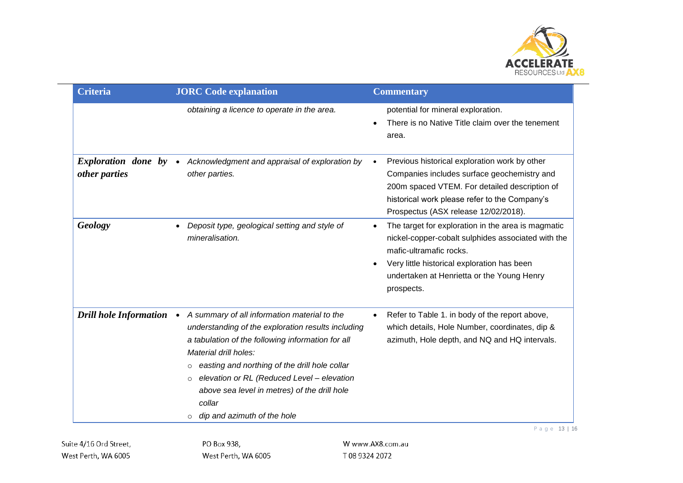

| <b>Criteria</b>                             | <b>JORC</b> Code explanation                                                                                                                                                                                                                                                                                                                                                                   | <b>Commentary</b>                                                                                                                                                                                                                                           |
|---------------------------------------------|------------------------------------------------------------------------------------------------------------------------------------------------------------------------------------------------------------------------------------------------------------------------------------------------------------------------------------------------------------------------------------------------|-------------------------------------------------------------------------------------------------------------------------------------------------------------------------------------------------------------------------------------------------------------|
|                                             | obtaining a licence to operate in the area.                                                                                                                                                                                                                                                                                                                                                    | potential for mineral exploration.<br>There is no Native Title claim over the tenement<br>$\bullet$<br>area.                                                                                                                                                |
| <i>Exploration done by</i><br>other parties | Acknowledgment and appraisal of exploration by<br>$\bullet$<br>other parties.                                                                                                                                                                                                                                                                                                                  | Previous historical exploration work by other<br>Companies includes surface geochemistry and<br>200m spaced VTEM. For detailed description of<br>historical work please refer to the Company's<br>Prospectus (ASX release 12/02/2018).                      |
| Geology                                     | Deposit type, geological setting and style of<br>mineralisation.                                                                                                                                                                                                                                                                                                                               | The target for exploration in the area is magmatic<br>$\bullet$<br>nickel-copper-cobalt sulphides associated with the<br>mafic-ultramafic rocks.<br>Very little historical exploration has been<br>undertaken at Henrietta or the Young Henry<br>prospects. |
| <b>Drill hole Information</b>               | A summary of all information material to the<br>understanding of the exploration results including<br>a tabulation of the following information for all<br>Material drill holes:<br>easting and northing of the drill hole collar<br>$\circ$<br>elevation or RL (Reduced Level - elevation<br>$\circ$<br>above sea level in metres) of the drill hole<br>collar<br>dip and azimuth of the hole | Refer to Table 1. in body of the report above,<br>which details, Hole Number, coordinates, dip &<br>azimuth, Hole depth, and NQ and HQ intervals.                                                                                                           |

P a g e 13 | 16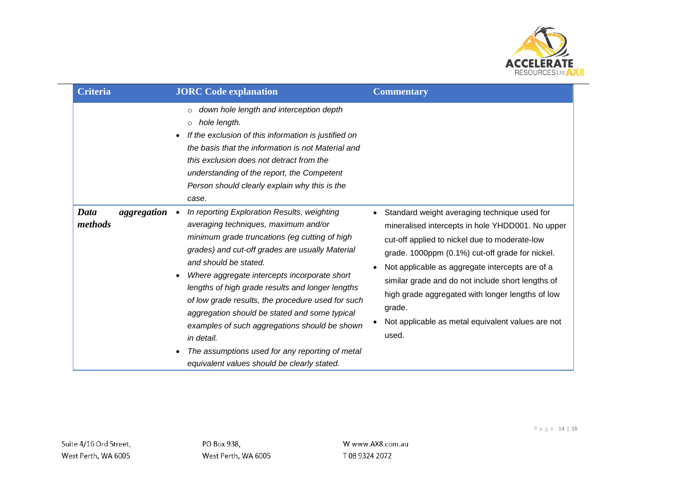

| <b>Criteria</b>                | <b>JORC</b> Code explanation                                                                                                                                                                                                                                                                                                                                                                                                                                                                                                                              | <b>Commentary</b>                                                                                                                                                                                                                                                                                                                                                                                                                        |
|--------------------------------|-----------------------------------------------------------------------------------------------------------------------------------------------------------------------------------------------------------------------------------------------------------------------------------------------------------------------------------------------------------------------------------------------------------------------------------------------------------------------------------------------------------------------------------------------------------|------------------------------------------------------------------------------------------------------------------------------------------------------------------------------------------------------------------------------------------------------------------------------------------------------------------------------------------------------------------------------------------------------------------------------------------|
|                                | down hole length and interception depth<br>hole length.<br>$\circ$<br>If the exclusion of this information is justified on<br>$\bullet$<br>the basis that the information is not Material and<br>this exclusion does not detract from the<br>understanding of the report, the Competent<br>Person should clearly explain why this is the<br>case.                                                                                                                                                                                                         |                                                                                                                                                                                                                                                                                                                                                                                                                                          |
| Data<br>aggregation<br>methods | In reporting Exploration Results, weighting<br>averaging techniques, maximum and/or<br>minimum grade truncations (eg cutting of high<br>grades) and cut-off grades are usually Material<br>and should be stated.<br>Where aggregate intercepts incorporate short<br>lengths of high grade results and longer lengths<br>of low grade results, the procedure used for such<br>aggregation should be stated and some typical<br>examples of such aggregations should be shown<br>in detail.<br>The assumptions used for any reporting of metal<br>$\bullet$ | Standard weight averaging technique used for<br>mineralised intercepts in hole YHDD001. No upper<br>cut-off applied to nickel due to moderate-low<br>grade. 1000ppm (0.1%) cut-off grade for nickel.<br>Not applicable as aggregate intercepts are of a<br>similar grade and do not include short lengths of<br>high grade aggregated with longer lengths of low<br>grade.<br>Not applicable as metal equivalent values are not<br>used. |
|                                | equivalent values should be clearly stated.                                                                                                                                                                                                                                                                                                                                                                                                                                                                                                               |                                                                                                                                                                                                                                                                                                                                                                                                                                          |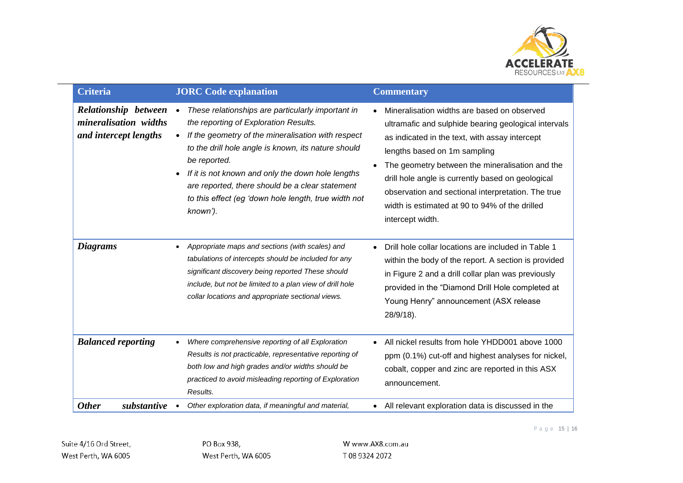

| <b>Criteria</b>                                                        | <b>JORC</b> Code explanation                                                                                                                                                                                                                                                                                                                                                                                                  | <b>Commentary</b>                                                                                                                                                                                                                                                                                                                                                                                                         |
|------------------------------------------------------------------------|-------------------------------------------------------------------------------------------------------------------------------------------------------------------------------------------------------------------------------------------------------------------------------------------------------------------------------------------------------------------------------------------------------------------------------|---------------------------------------------------------------------------------------------------------------------------------------------------------------------------------------------------------------------------------------------------------------------------------------------------------------------------------------------------------------------------------------------------------------------------|
| Relationship between<br>mineralisation widths<br>and intercept lengths | These relationships are particularly important in<br>$\bullet$<br>the reporting of Exploration Results.<br>If the geometry of the mineralisation with respect<br>$\bullet$<br>to the drill hole angle is known, its nature should<br>be reported.<br>If it is not known and only the down hole lengths<br>are reported, there should be a clear statement<br>to this effect (eg 'down hole length, true width not<br>known'). | Mineralisation widths are based on observed<br>ultramafic and sulphide bearing geological intervals<br>as indicated in the text, with assay intercept<br>lengths based on 1m sampling<br>The geometry between the mineralisation and the<br>drill hole angle is currently based on geological<br>observation and sectional interpretation. The true<br>width is estimated at 90 to 94% of the drilled<br>intercept width. |
| <b>Diagrams</b>                                                        | Appropriate maps and sections (with scales) and<br>tabulations of intercepts should be included for any<br>significant discovery being reported These should<br>include, but not be limited to a plan view of drill hole<br>collar locations and appropriate sectional views.                                                                                                                                                 | Drill hole collar locations are included in Table 1<br>within the body of the report. A section is provided<br>in Figure 2 and a drill collar plan was previously<br>provided in the "Diamond Drill Hole completed at<br>Young Henry" announcement (ASX release<br>28/9/18).                                                                                                                                              |
| <b>Balanced reporting</b>                                              | Where comprehensive reporting of all Exploration<br>Results is not practicable, representative reporting of<br>both low and high grades and/or widths should be<br>practiced to avoid misleading reporting of Exploration<br>Results.                                                                                                                                                                                         | All nickel results from hole YHDD001 above 1000<br>ppm (0.1%) cut-off and highest analyses for nickel,<br>cobalt, copper and zinc are reported in this ASX<br>announcement.                                                                                                                                                                                                                                               |
| <b>Other</b><br>substantive                                            | Other exploration data, if meaningful and material,                                                                                                                                                                                                                                                                                                                                                                           | All relevant exploration data is discussed in the<br>$\bullet$                                                                                                                                                                                                                                                                                                                                                            |

P a g e 15 | 16